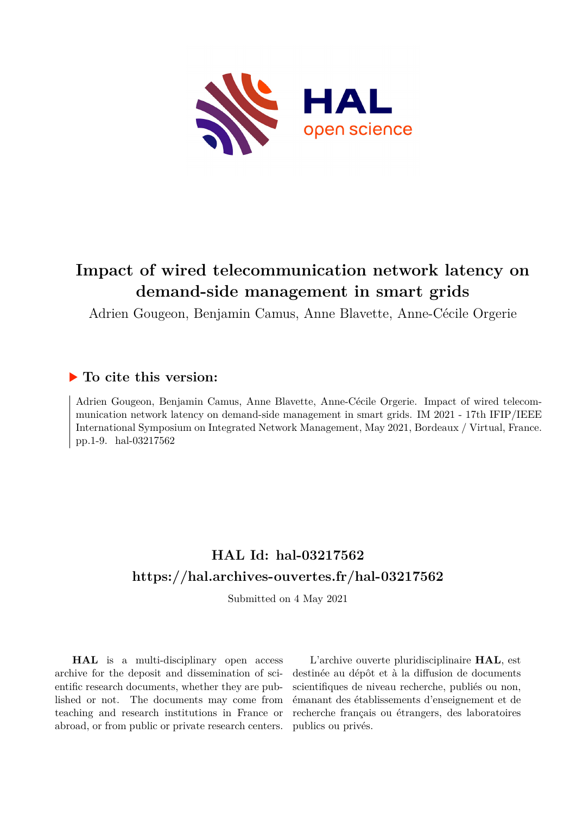

# **Impact of wired telecommunication network latency on demand-side management in smart grids**

Adrien Gougeon, Benjamin Camus, Anne Blavette, Anne-Cécile Orgerie

# **To cite this version:**

Adrien Gougeon, Benjamin Camus, Anne Blavette, Anne-Cécile Orgerie. Impact of wired telecommunication network latency on demand-side management in smart grids. IM 2021 - 17th IFIP/IEEE International Symposium on Integrated Network Management, May 2021, Bordeaux / Virtual, France. pp.1-9. hal-03217562

# **HAL Id: hal-03217562 <https://hal.archives-ouvertes.fr/hal-03217562>**

Submitted on 4 May 2021

**HAL** is a multi-disciplinary open access archive for the deposit and dissemination of scientific research documents, whether they are published or not. The documents may come from teaching and research institutions in France or abroad, or from public or private research centers.

L'archive ouverte pluridisciplinaire **HAL**, est destinée au dépôt et à la diffusion de documents scientifiques de niveau recherche, publiés ou non, émanant des établissements d'enseignement et de recherche français ou étrangers, des laboratoires publics ou privés.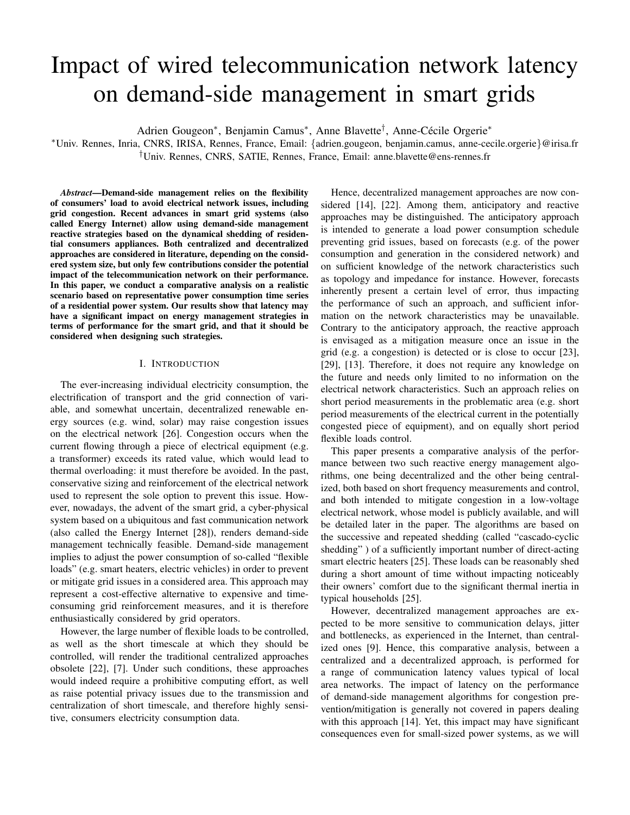# Impact of wired telecommunication network latency on demand-side management in smart grids

Adrien Gougeon\*, Benjamin Camus\*, Anne Blavette<sup>†</sup>, Anne-Cécile Orgerie\*

<sup>∗</sup>Univ. Rennes, Inria, CNRS, IRISA, Rennes, France, Email: {adrien.gougeon, benjamin.camus, anne-cecile.orgerie}@irisa.fr †Univ. Rennes, CNRS, SATIE, Rennes, France, Email: anne.blavette@ens-rennes.fr

*Abstract*—Demand-side management relies on the flexibility of consumers' load to avoid electrical network issues, including grid congestion. Recent advances in smart grid systems (also called Energy Internet) allow using demand-side management reactive strategies based on the dynamical shedding of residential consumers appliances. Both centralized and decentralized approaches are considered in literature, depending on the considered system size, but only few contributions consider the potential impact of the telecommunication network on their performance. In this paper, we conduct a comparative analysis on a realistic scenario based on representative power consumption time series of a residential power system. Our results show that latency may have a significant impact on energy management strategies in terms of performance for the smart grid, and that it should be considered when designing such strategies.

#### I. INTRODUCTION

The ever-increasing individual electricity consumption, the electrification of transport and the grid connection of variable, and somewhat uncertain, decentralized renewable energy sources (e.g. wind, solar) may raise congestion issues on the electrical network [26]. Congestion occurs when the current flowing through a piece of electrical equipment (e.g. a transformer) exceeds its rated value, which would lead to thermal overloading: it must therefore be avoided. In the past, conservative sizing and reinforcement of the electrical network used to represent the sole option to prevent this issue. However, nowadays, the advent of the smart grid, a cyber-physical system based on a ubiquitous and fast communication network (also called the Energy Internet [28]), renders demand-side management technically feasible. Demand-side management implies to adjust the power consumption of so-called "flexible loads" (e.g. smart heaters, electric vehicles) in order to prevent or mitigate grid issues in a considered area. This approach may represent a cost-effective alternative to expensive and timeconsuming grid reinforcement measures, and it is therefore enthusiastically considered by grid operators.

However, the large number of flexible loads to be controlled, as well as the short timescale at which they should be controlled, will render the traditional centralized approaches obsolete [22], [7]. Under such conditions, these approaches would indeed require a prohibitive computing effort, as well as raise potential privacy issues due to the transmission and centralization of short timescale, and therefore highly sensitive, consumers electricity consumption data.

Hence, decentralized management approaches are now considered [14], [22]. Among them, anticipatory and reactive approaches may be distinguished. The anticipatory approach is intended to generate a load power consumption schedule preventing grid issues, based on forecasts (e.g. of the power consumption and generation in the considered network) and on sufficient knowledge of the network characteristics such as topology and impedance for instance. However, forecasts inherently present a certain level of error, thus impacting the performance of such an approach, and sufficient information on the network characteristics may be unavailable. Contrary to the anticipatory approach, the reactive approach is envisaged as a mitigation measure once an issue in the grid (e.g. a congestion) is detected or is close to occur [23], [29], [13]. Therefore, it does not require any knowledge on the future and needs only limited to no information on the electrical network characteristics. Such an approach relies on short period measurements in the problematic area (e.g. short period measurements of the electrical current in the potentially congested piece of equipment), and on equally short period flexible loads control.

This paper presents a comparative analysis of the performance between two such reactive energy management algorithms, one being decentralized and the other being centralized, both based on short frequency measurements and control, and both intended to mitigate congestion in a low-voltage electrical network, whose model is publicly available, and will be detailed later in the paper. The algorithms are based on the successive and repeated shedding (called "cascado-cyclic shedding" ) of a sufficiently important number of direct-acting smart electric heaters [25]. These loads can be reasonably shed during a short amount of time without impacting noticeably their owners' comfort due to the significant thermal inertia in typical households [25].

However, decentralized management approaches are expected to be more sensitive to communication delays, jitter and bottlenecks, as experienced in the Internet, than centralized ones [9]. Hence, this comparative analysis, between a centralized and a decentralized approach, is performed for a range of communication latency values typical of local area networks. The impact of latency on the performance of demand-side management algorithms for congestion prevention/mitigation is generally not covered in papers dealing with this approach [14]. Yet, this impact may have significant consequences even for small-sized power systems, as we will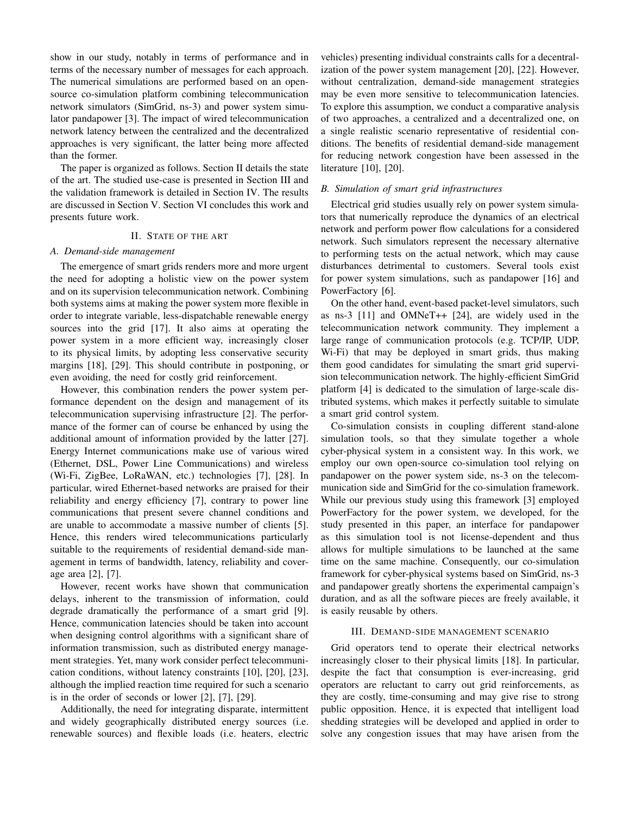show in our study, notably in terms of performance and in terms of the necessary number of messages for each approach. The numerical simulations are performed based on an opensource co-simulation platform combining telecommunication network simulators (SimGrid, ns-3) and power system simulator pandapower [3]. The impact of wired telecommunication network latency between the centralized and the decentralized approaches is very significant, the latter being more affected than the former.

The paper is organized as follows. Section II details the state of the art. The studied use-case is presented in Section III and the validation framework is detailed in Section IV. The results are discussed in Section V. Section VI concludes this work and presents future work.

# II. STATE OF THE ART

#### *A. Demand-side management*

The emergence of smart grids renders more and more urgent the need for adopting a holistic view on the power system and on its supervision telecommunication network. Combining both systems aims at making the power system more flexible in order to integrate variable, less-dispatchable renewable energy sources into the grid [17]. It also aims at operating the power system in a more efficient way, increasingly closer to its physical limits, by adopting less conservative security margins [18], [29]. This should contribute in postponing, or even avoiding, the need for costly grid reinforcement.

However, this combination renders the power system performance dependent on the design and management of its telecommunication supervising infrastructure [2]. The performance of the former can of course be enhanced by using the additional amount of information provided by the latter [27]. Energy Internet communications make use of various wired (Ethernet, DSL, Power Line Communications) and wireless (Wi-Fi, ZigBee, LoRaWAN, etc.) technologies [7], [28]. In particular, wired Ethernet-based networks are praised for their reliability and energy efficiency [7], contrary to power line communications that present severe channel conditions and are unable to accommodate a massive number of clients [5]. Hence, this renders wired telecommunications particularly suitable to the requirements of residential demand-side management in terms of bandwidth, latency, reliability and coverage area [2], [7].

However, recent works have shown that communication delays, inherent to the transmission of information, could degrade dramatically the performance of a smart grid [9]. Hence, communication latencies should be taken into account when designing control algorithms with a significant share of information transmission, such as distributed energy management strategies. Yet, many work consider perfect telecommunication conditions, without latency constraints [10], [20], [23], although the implied reaction time required for such a scenario is in the order of seconds or lower [2], [7], [29].

Additionally, the need for integrating disparate, intermittent and widely geographically distributed energy sources (i.e. renewable sources) and flexible loads (i.e. heaters, electric

vehicles) presenting individual constraints calls for a decentralization of the power system management [20], [22]. However, without centralization, demand-side management strategies may be even more sensitive to telecommunication latencies. To explore this assumption, we conduct a comparative analysis of two approaches, a centralized and a decentralized one, on a single realistic scenario representative of residential conditions. The benefits of residential demand-side management for reducing network congestion have been assessed in the literature [10], [20].

# *B. Simulation of smart grid infrastructures*

Electrical grid studies usually rely on power system simulators that numerically reproduce the dynamics of an electrical network and perform power flow calculations for a considered network. Such simulators represent the necessary alternative to performing tests on the actual network, which may cause disturbances detrimental to customers. Several tools exist for power system simulations, such as pandapower [16] and PowerFactory [6].

On the other hand, event-based packet-level simulators, such as ns-3 [11] and OMNeT++ [24], are widely used in the telecommunication network community. They implement a large range of communication protocols (e.g. TCP/IP, UDP, Wi-Fi) that may be deployed in smart grids, thus making them good candidates for simulating the smart grid supervision telecommunication network. The highly-efficient SimGrid platform [4] is dedicated to the simulation of large-scale distributed systems, which makes it perfectly suitable to simulate a smart grid control system.

Co-simulation consists in coupling different stand-alone simulation tools, so that they simulate together a whole cyber-physical system in a consistent way. In this work, we employ our own open-source co-simulation tool relying on pandapower on the power system side, ns-3 on the telecommunication side and SimGrid for the co-simulation framework. While our previous study using this framework [3] employed PowerFactory for the power system, we developed, for the study presented in this paper, an interface for pandapower as this simulation tool is not license-dependent and thus allows for multiple simulations to be launched at the same time on the same machine. Consequently, our co-simulation framework for cyber-physical systems based on SimGrid, ns-3 and pandapower greatly shortens the experimental campaign's duration, and as all the software pieces are freely available, it is easily reusable by others.

# III. DEMAND-SIDE MANAGEMENT SCENARIO

Grid operators tend to operate their electrical networks increasingly closer to their physical limits [18]. In particular, despite the fact that consumption is ever-increasing, grid operators are reluctant to carry out grid reinforcements, as they are costly, time-consuming and may give rise to strong public opposition. Hence, it is expected that intelligent load shedding strategies will be developed and applied in order to solve any congestion issues that may have arisen from the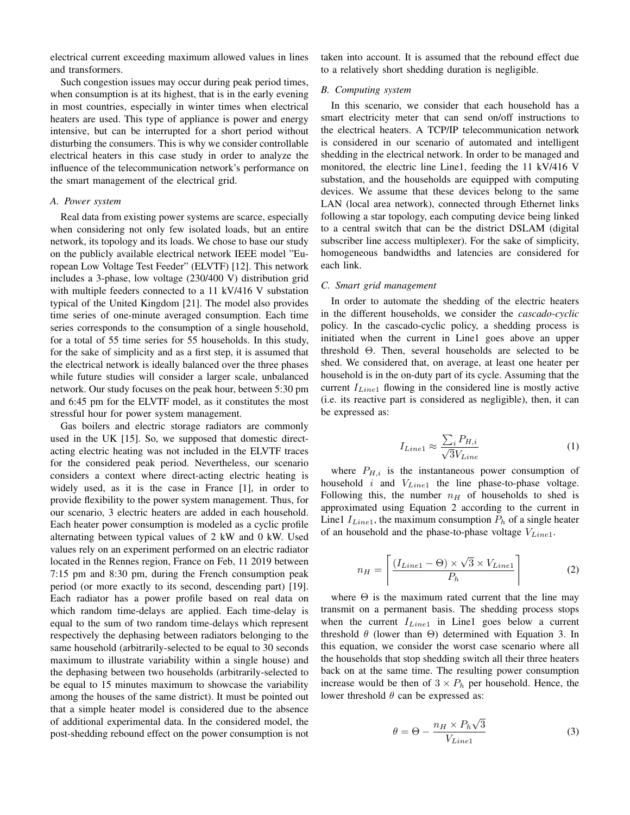electrical current exceeding maximum allowed values in lines and transformers.

Such congestion issues may occur during peak period times, when consumption is at its highest, that is in the early evening in most countries, especially in winter times when electrical heaters are used. This type of appliance is power and energy intensive, but can be interrupted for a short period without disturbing the consumers. This is why we consider controllable electrical heaters in this case study in order to analyze the influence of the telecommunication network's performance on the smart management of the electrical grid.

## *A. Power system*

Real data from existing power systems are scarce, especially when considering not only few isolated loads, but an entire network, its topology and its loads. We chose to base our study on the publicly available electrical network IEEE model "European Low Voltage Test Feeder" (ELVTF) [12]. This network includes a 3-phase, low voltage (230/400 V) distribution grid with multiple feeders connected to a 11 kV/416 V substation typical of the United Kingdom [21]. The model also provides time series of one-minute averaged consumption. Each time series corresponds to the consumption of a single household, for a total of 55 time series for 55 households. In this study, for the sake of simplicity and as a first step, it is assumed that the electrical network is ideally balanced over the three phases while future studies will consider a larger scale, unbalanced network. Our study focuses on the peak hour, between 5:30 pm and 6:45 pm for the ELVTF model, as it constitutes the most stressful hour for power system management.

Gas boilers and electric storage radiators are commonly used in the UK [15]. So, we supposed that domestic directacting electric heating was not included in the ELVTF traces for the considered peak period. Nevertheless, our scenario considers a context where direct-acting electric heating is widely used, as it is the case in France [1], in order to provide flexibility to the power system management. Thus, for our scenario, 3 electric heaters are added in each household. Each heater power consumption is modeled as a cyclic profile alternating between typical values of 2 kW and 0 kW. Used values rely on an experiment performed on an electric radiator located in the Rennes region, France on Feb, 11 2019 between 7:15 pm and 8:30 pm, during the French consumption peak period (or more exactly to its second, descending part) [19]. Each radiator has a power profile based on real data on which random time-delays are applied. Each time-delay is equal to the sum of two random time-delays which represent respectively the dephasing between radiators belonging to the same household (arbitrarily-selected to be equal to 30 seconds maximum to illustrate variability within a single house) and the dephasing between two households (arbitrarily-selected to be equal to 15 minutes maximum to showcase the variability among the houses of the same district). It must be pointed out that a simple heater model is considered due to the absence of additional experimental data. In the considered model, the post-shedding rebound effect on the power consumption is not taken into account. It is assumed that the rebound effect due to a relatively short shedding duration is negligible.

# *B. Computing system*

In this scenario, we consider that each household has a smart electricity meter that can send on/off instructions to the electrical heaters. A TCP/IP telecommunication network is considered in our scenario of automated and intelligent shedding in the electrical network. In order to be managed and monitored, the electric line Line1, feeding the 11 kV/416 V substation, and the households are equipped with computing devices. We assume that these devices belong to the same LAN (local area network), connected through Ethernet links following a star topology, each computing device being linked to a central switch that can be the district DSLAM (digital subscriber line access multiplexer). For the sake of simplicity, homogeneous bandwidths and latencies are considered for each link.

#### *C. Smart grid management*

In order to automate the shedding of the electric heaters in the different households, we consider the *cascado-cyclic* policy. In the cascado-cyclic policy, a shedding process is initiated when the current in Line1 goes above an upper threshold Θ. Then, several households are selected to be shed. We considered that, on average, at least one heater per household is in the on-duty part of its cycle. Assuming that the current  $I_{Line1}$  flowing in the considered line is mostly active (i.e. its reactive part is considered as negligible), then, it can be expressed as:

$$
I_{Line1} \approx \frac{\sum_{i} P_{H,i}}{\sqrt{3} V_{Line}} \tag{1}
$$

where  $P_{H,i}$  is the instantaneous power consumption of household  $i$  and  $V_{Line1}$  the line phase-to-phase voltage. Following this, the number  $n_H$  of households to shed is approximated using Equation 2 according to the current in Line1  $I_{Line1}$ , the maximum consumption  $P_h$  of a single heater of an household and the phase-to-phase voltage  $V_{Line1}$ .

$$
n_H = \left\lceil \frac{(I_{Line1} - \Theta) \times \sqrt{3} \times V_{Line1}}{P_h} \right\rceil \tag{2}
$$

where  $\Theta$  is the maximum rated current that the line may transmit on a permanent basis. The shedding process stops when the current  $I_{Line1}$  in Line1 goes below a current threshold  $\theta$  (lower than  $\Theta$ ) determined with Equation 3. In this equation, we consider the worst case scenario where all the households that stop shedding switch all their three heaters back on at the same time. The resulting power consumption increase would be then of  $3 \times P_h$  per household. Hence, the lower threshold  $\theta$  can be expressed as:

$$
\theta = \Theta - \frac{n_H \times P_h \sqrt{3}}{V_{Line 1}}
$$
\n(3)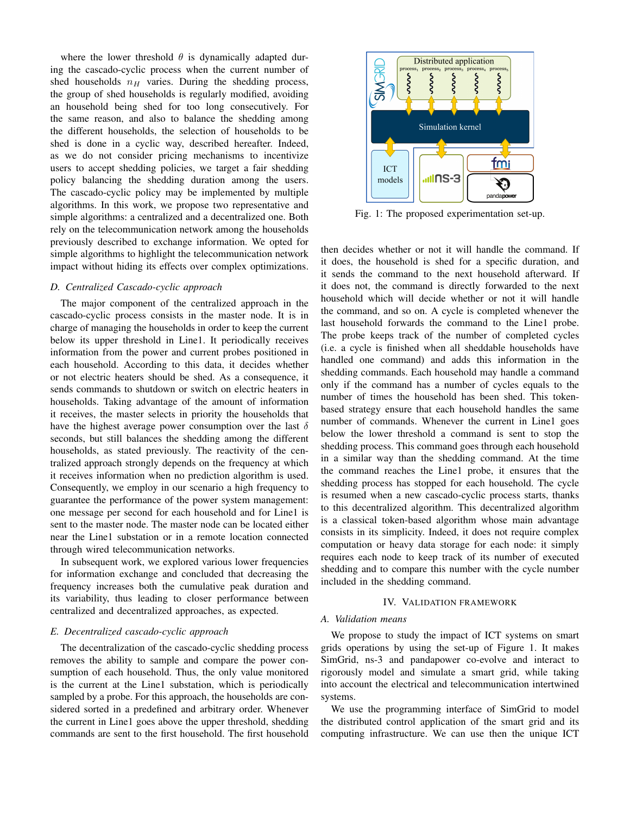where the lower threshold  $\theta$  is dynamically adapted during the cascado-cyclic process when the current number of shed households  $n_H$  varies. During the shedding process, the group of shed households is regularly modified, avoiding an household being shed for too long consecutively. For the same reason, and also to balance the shedding among the different households, the selection of households to be shed is done in a cyclic way, described hereafter. Indeed, as we do not consider pricing mechanisms to incentivize users to accept shedding policies, we target a fair shedding policy balancing the shedding duration among the users. The cascado-cyclic policy may be implemented by multiple algorithms. In this work, we propose two representative and simple algorithms: a centralized and a decentralized one. Both rely on the telecommunication network among the households previously described to exchange information. We opted for simple algorithms to highlight the telecommunication network impact without hiding its effects over complex optimizations.

# *D. Centralized Cascado-cyclic approach*

The major component of the centralized approach in the cascado-cyclic process consists in the master node. It is in charge of managing the households in order to keep the current below its upper threshold in Line1. It periodically receives information from the power and current probes positioned in each household. According to this data, it decides whether or not electric heaters should be shed. As a consequence, it sends commands to shutdown or switch on electric heaters in households. Taking advantage of the amount of information it receives, the master selects in priority the households that have the highest average power consumption over the last  $\delta$ seconds, but still balances the shedding among the different households, as stated previously. The reactivity of the centralized approach strongly depends on the frequency at which it receives information when no prediction algorithm is used. Consequently, we employ in our scenario a high frequency to guarantee the performance of the power system management: one message per second for each household and for Line1 is sent to the master node. The master node can be located either near the Line1 substation or in a remote location connected through wired telecommunication networks.

In subsequent work, we explored various lower frequencies for information exchange and concluded that decreasing the frequency increases both the cumulative peak duration and its variability, thus leading to closer performance between centralized and decentralized approaches, as expected.

#### *E. Decentralized cascado-cyclic approach*

The decentralization of the cascado-cyclic shedding process removes the ability to sample and compare the power consumption of each household. Thus, the only value monitored is the current at the Line1 substation, which is periodically sampled by a probe. For this approach, the households are considered sorted in a predefined and arbitrary order. Whenever the current in Line1 goes above the upper threshold, shedding commands are sent to the first household. The first household



Fig. 1: The proposed experimentation set-up.

then decides whether or not it will handle the command. If it does, the household is shed for a specific duration, and it sends the command to the next household afterward. If it does not, the command is directly forwarded to the next household which will decide whether or not it will handle the command, and so on. A cycle is completed whenever the last household forwards the command to the Line1 probe. The probe keeps track of the number of completed cycles (i.e. a cycle is finished when all sheddable households have handled one command) and adds this information in the shedding commands. Each household may handle a command only if the command has a number of cycles equals to the number of times the household has been shed. This tokenbased strategy ensure that each household handles the same number of commands. Whenever the current in Line1 goes below the lower threshold a command is sent to stop the shedding process. This command goes through each household in a similar way than the shedding command. At the time the command reaches the Line1 probe, it ensures that the shedding process has stopped for each household. The cycle is resumed when a new cascado-cyclic process starts, thanks to this decentralized algorithm. This decentralized algorithm is a classical token-based algorithm whose main advantage consists in its simplicity. Indeed, it does not require complex computation or heavy data storage for each node: it simply requires each node to keep track of its number of executed shedding and to compare this number with the cycle number included in the shedding command.

#### IV. VALIDATION FRAMEWORK

#### *A. Validation means*

We propose to study the impact of ICT systems on smart grids operations by using the set-up of Figure 1. It makes SimGrid, ns-3 and pandapower co-evolve and interact to rigorously model and simulate a smart grid, while taking into account the electrical and telecommunication intertwined systems.

We use the programming interface of SimGrid to model the distributed control application of the smart grid and its computing infrastructure. We can use then the unique ICT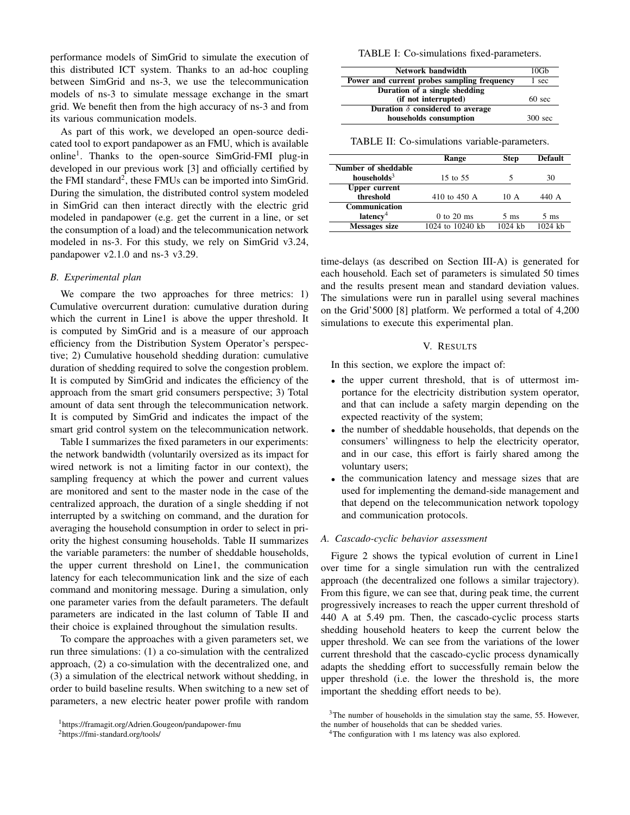performance models of SimGrid to simulate the execution of this distributed ICT system. Thanks to an ad-hoc coupling between SimGrid and ns-3, we use the telecommunication models of ns-3 to simulate message exchange in the smart grid. We benefit then from the high accuracy of ns-3 and from its various communication models.

As part of this work, we developed an open-source dedicated tool to export pandapower as an FMU, which is available online<sup>1</sup>. Thanks to the open-source SimGrid-FMI plug-in developed in our previous work [3] and officially certified by the FMI standard<sup>2</sup>, these FMUs can be imported into SimGrid. During the simulation, the distributed control system modeled in SimGrid can then interact directly with the electric grid modeled in pandapower (e.g. get the current in a line, or set the consumption of a load) and the telecommunication network modeled in ns-3. For this study, we rely on SimGrid v3.24, pandapower v2.1.0 and ns-3 v3.29.

# *B. Experimental plan*

We compare the two approaches for three metrics: 1) Cumulative overcurrent duration: cumulative duration during which the current in Line1 is above the upper threshold. It is computed by SimGrid and is a measure of our approach efficiency from the Distribution System Operator's perspective; 2) Cumulative household shedding duration: cumulative duration of shedding required to solve the congestion problem. It is computed by SimGrid and indicates the efficiency of the approach from the smart grid consumers perspective; 3) Total amount of data sent through the telecommunication network. It is computed by SimGrid and indicates the impact of the smart grid control system on the telecommunication network.

Table I summarizes the fixed parameters in our experiments: the network bandwidth (voluntarily oversized as its impact for wired network is not a limiting factor in our context), the sampling frequency at which the power and current values are monitored and sent to the master node in the case of the centralized approach, the duration of a single shedding if not interrupted by a switching on command, and the duration for averaging the household consumption in order to select in priority the highest consuming households. Table II summarizes the variable parameters: the number of sheddable households, the upper current threshold on Line1, the communication latency for each telecommunication link and the size of each command and monitoring message. During a simulation, only one parameter varies from the default parameters. The default parameters are indicated in the last column of Table II and their choice is explained throughout the simulation results.

To compare the approaches with a given parameters set, we run three simulations: (1) a co-simulation with the centralized approach, (2) a co-simulation with the decentralized one, and (3) a simulation of the electrical network without shedding, in order to build baseline results. When switching to a new set of parameters, a new electric heater power profile with random

TABLE I: Co-simulations fixed-parameters.

| Network bandwidth                           | 10Gb              |
|---------------------------------------------|-------------------|
| Power and current probes sampling frequency | 1 sec             |
| Duration of a single shedding               |                   |
| (if not interrupted)                        | $60 \text{ sec}$  |
| Duration $\delta$ considered to average     |                   |
| households consumption                      | $300 \text{ sec}$ |

TABLE II: Co-simulations variable-parameters.

|                      | Range            | <b>Step</b>    | Default   |
|----------------------|------------------|----------------|-----------|
| Number of sheddable  |                  |                |           |
| households $3$       | 15 to 55         |                | 30        |
| <b>Upper current</b> |                  |                |           |
| threshold            | 410 to 450 A     | 10 A           | 440 A     |
| <b>Communication</b> |                  |                |           |
| latency <sup>4</sup> | $0$ to $20$ ms   | $5 \text{ ms}$ | 5 ms      |
| <b>Messages size</b> | 1024 to 10240 kb | $1024$ kh      | $1024$ kh |

time-delays (as described on Section III-A) is generated for each household. Each set of parameters is simulated 50 times and the results present mean and standard deviation values. The simulations were run in parallel using several machines on the Grid'5000 [8] platform. We performed a total of 4,200 simulations to execute this experimental plan.

# V. RESULTS

In this section, we explore the impact of:

- the upper current threshold, that is of uttermost importance for the electricity distribution system operator, and that can include a safety margin depending on the expected reactivity of the system;
- the number of sheddable households, that depends on the consumers' willingness to help the electricity operator, and in our case, this effort is fairly shared among the voluntary users;
- the communication latency and message sizes that are used for implementing the demand-side management and that depend on the telecommunication network topology and communication protocols.

# *A. Cascado-cyclic behavior assessment*

Figure 2 shows the typical evolution of current in Line1 over time for a single simulation run with the centralized approach (the decentralized one follows a similar trajectory). From this figure, we can see that, during peak time, the current progressively increases to reach the upper current threshold of 440 A at 5.49 pm. Then, the cascado-cyclic process starts shedding household heaters to keep the current below the upper threshold. We can see from the variations of the lower current threshold that the cascado-cyclic process dynamically adapts the shedding effort to successfully remain below the upper threshold (i.e. the lower the threshold is, the more important the shedding effort needs to be).

<sup>1</sup>https://framagit.org/Adrien.Gougeon/pandapower-fmu

<sup>2</sup>https://fmi-standard.org/tools/

 $3$ The number of households in the simulation stay the same, 55. However, the number of households that can be shedded varies.

<sup>&</sup>lt;sup>4</sup>The configuration with 1 ms latency was also explored.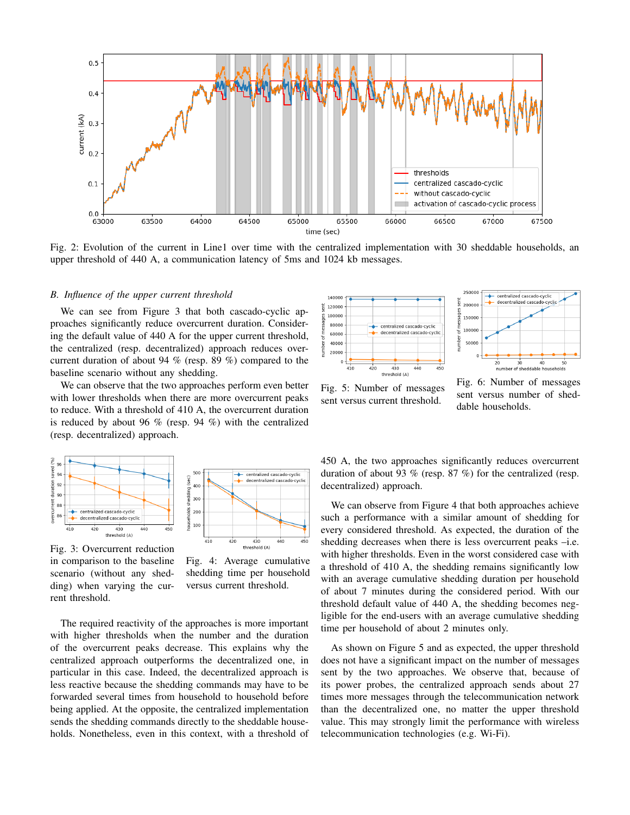

Fig. 2: Evolution of the current in Line1 over time with the centralized implementation with 30 sheddable households, an upper threshold of 440 A, a communication latency of 5ms and 1024 kb messages.

## *B. Influence of the upper current threshold*

We can see from Figure 3 that both cascado-cyclic approaches significantly reduce overcurrent duration. Considering the default value of 440 A for the upper current threshold, the centralized (resp. decentralized) approach reduces overcurrent duration of about 94 % (resp. 89 %) compared to the baseline scenario without any shedding.

We can observe that the two approaches perform even better with lower thresholds when there are more overcurrent peaks to reduce. With a threshold of 410 A, the overcurrent duration is reduced by about 96 % (resp. 94 %) with the centralized (resp. decentralized) approach.



centralized cascado-cyclic decentralized cascad  $400$ 300 200 100  $410$  $420$ 450 430<br>(4) threshold

Fig. 3: Overcurrent reduction in comparison to the baseline scenario (without any shedding) when varying the current threshold.

Fig. 4: Average cumulative shedding time per household versus current threshold.

The required reactivity of the approaches is more important with higher thresholds when the number and the duration of the overcurrent peaks decrease. This explains why the centralized approach outperforms the decentralized one, in particular in this case. Indeed, the decentralized approach is less reactive because the shedding commands may have to be forwarded several times from household to household before being applied. At the opposite, the centralized implementation sends the shedding commands directly to the sheddable households. Nonetheless, even in this context, with a threshold of





Fig. 5: Number of messages sent versus current threshold.

Fig. 6: Number of messages sent versus number of sheddable households.

450 A, the two approaches significantly reduces overcurrent duration of about 93 % (resp. 87 %) for the centralized (resp. decentralized) approach.

We can observe from Figure 4 that both approaches achieve such a performance with a similar amount of shedding for every considered threshold. As expected, the duration of the shedding decreases when there is less overcurrent peaks -i.e. with higher thresholds. Even in the worst considered case with a threshold of 410 A, the shedding remains significantly low with an average cumulative shedding duration per household of about 7 minutes during the considered period. With our threshold default value of 440 A, the shedding becomes negligible for the end-users with an average cumulative shedding time per household of about 2 minutes only.

As shown on Figure 5 and as expected, the upper threshold does not have a significant impact on the number of messages sent by the two approaches. We observe that, because of its power probes, the centralized approach sends about 27 times more messages through the telecommunication network than the decentralized one, no matter the upper threshold value. This may strongly limit the performance with wireless telecommunication technologies (e.g. Wi-Fi).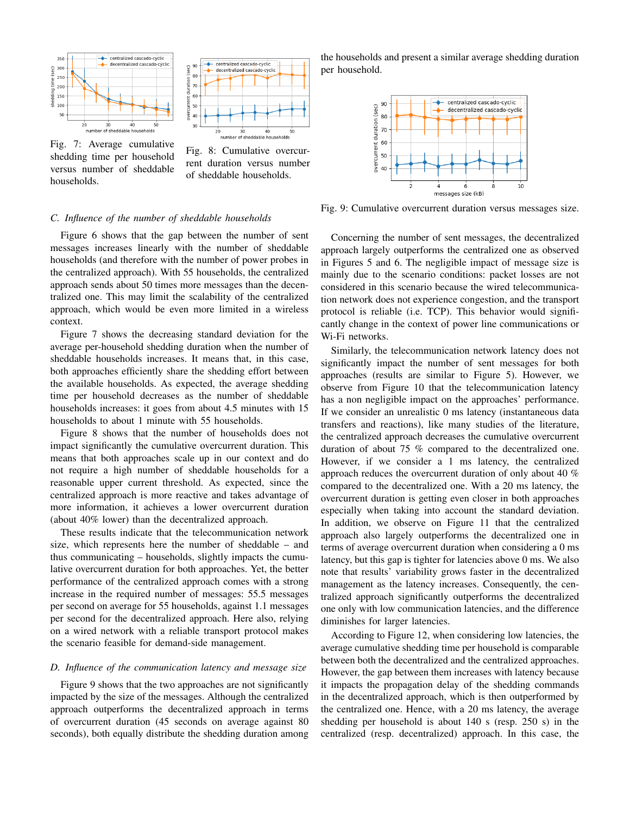



Fig. 7: Average cumulative shedding time per household versus number of sheddable households.

Fig. 8: Cumulative overcurrent duration versus number of sheddable households.

# *C. Influence of the number of sheddable households*

Figure 6 shows that the gap between the number of sent messages increases linearly with the number of sheddable households (and therefore with the number of power probes in the centralized approach). With 55 households, the centralized approach sends about 50 times more messages than the decentralized one. This may limit the scalability of the centralized approach, which would be even more limited in a wireless context.

Figure 7 shows the decreasing standard deviation for the average per-household shedding duration when the number of sheddable households increases. It means that, in this case, both approaches efficiently share the shedding effort between the available households. As expected, the average shedding time per household decreases as the number of sheddable households increases: it goes from about 4.5 minutes with 15 households to about 1 minute with 55 households.

Figure 8 shows that the number of households does not impact significantly the cumulative overcurrent duration. This means that both approaches scale up in our context and do not require a high number of sheddable households for a reasonable upper current threshold. As expected, since the centralized approach is more reactive and takes advantage of more information, it achieves a lower overcurrent duration (about 40% lower) than the decentralized approach.

These results indicate that the telecommunication network size, which represents here the number of sheddable – and thus communicating – households, slightly impacts the cumulative overcurrent duration for both approaches. Yet, the better performance of the centralized approach comes with a strong increase in the required number of messages: 55.5 messages per second on average for 55 households, against 1.1 messages per second for the decentralized approach. Here also, relying on a wired network with a reliable transport protocol makes the scenario feasible for demand-side management.

#### *D. Influence of the communication latency and message size*

Figure 9 shows that the two approaches are not significantly impacted by the size of the messages. Although the centralized approach outperforms the decentralized approach in terms of overcurrent duration (45 seconds on average against 80 seconds), both equally distribute the shedding duration among the households and present a similar average shedding duration per household.



Fig. 9: Cumulative overcurrent duration versus messages size.

Concerning the number of sent messages, the decentralized approach largely outperforms the centralized one as observed in Figures 5 and 6. The negligible impact of message size is mainly due to the scenario conditions: packet losses are not considered in this scenario because the wired telecommunication network does not experience congestion, and the transport protocol is reliable (i.e. TCP). This behavior would significantly change in the context of power line communications or Wi-Fi networks.

Similarly, the telecommunication network latency does not significantly impact the number of sent messages for both approaches (results are similar to Figure 5). However, we observe from Figure 10 that the telecommunication latency has a non negligible impact on the approaches' performance. If we consider an unrealistic 0 ms latency (instantaneous data transfers and reactions), like many studies of the literature, the centralized approach decreases the cumulative overcurrent duration of about 75 % compared to the decentralized one. However, if we consider a 1 ms latency, the centralized approach reduces the overcurrent duration of only about 40 % compared to the decentralized one. With a 20 ms latency, the overcurrent duration is getting even closer in both approaches especially when taking into account the standard deviation. In addition, we observe on Figure 11 that the centralized approach also largely outperforms the decentralized one in terms of average overcurrent duration when considering a 0 ms latency, but this gap is tighter for latencies above 0 ms. We also note that results' variability grows faster in the decentralized management as the latency increases. Consequently, the centralized approach significantly outperforms the decentralized one only with low communication latencies, and the difference diminishes for larger latencies.

According to Figure 12, when considering low latencies, the average cumulative shedding time per household is comparable between both the decentralized and the centralized approaches. However, the gap between them increases with latency because it impacts the propagation delay of the shedding commands in the decentralized approach, which is then outperformed by the centralized one. Hence, with a 20 ms latency, the average shedding per household is about 140 s (resp. 250 s) in the centralized (resp. decentralized) approach. In this case, the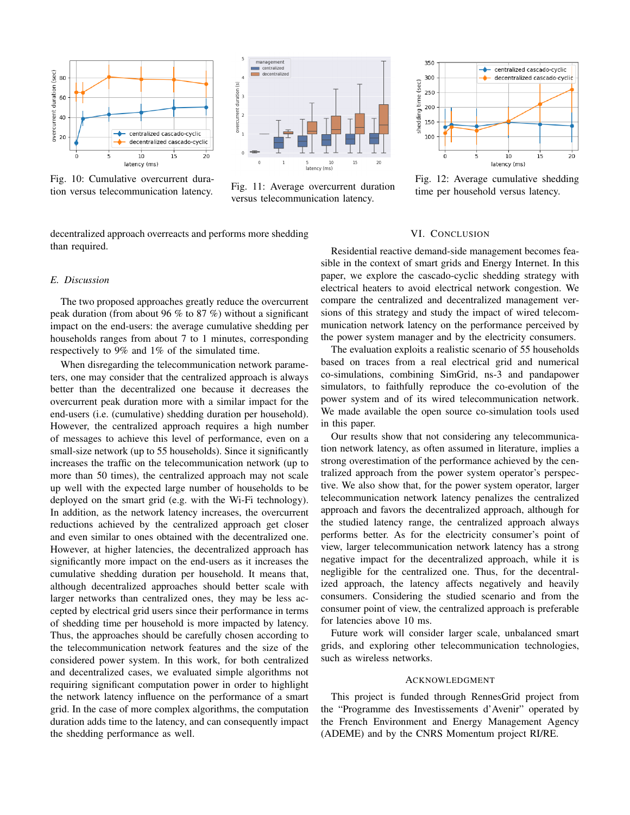

Fig. 10: Cumulative overcurrent duration versus telecommunication latency. Fig. 11: Average overcurrent duration



versus telecommunication latency.

decentralized approach overreacts and performs more shedding than required.



Fig. 12: Average cumulative shedding time per household versus latency.

# *E. Discussion*

The two proposed approaches greatly reduce the overcurrent peak duration (from about 96 % to 87 %) without a significant impact on the end-users: the average cumulative shedding per households ranges from about 7 to 1 minutes, corresponding respectively to 9% and 1% of the simulated time.

When disregarding the telecommunication network parameters, one may consider that the centralized approach is always better than the decentralized one because it decreases the overcurrent peak duration more with a similar impact for the end-users (i.e. (cumulative) shedding duration per household). However, the centralized approach requires a high number of messages to achieve this level of performance, even on a small-size network (up to 55 households). Since it significantly increases the traffic on the telecommunication network (up to more than 50 times), the centralized approach may not scale up well with the expected large number of households to be deployed on the smart grid (e.g. with the Wi-Fi technology). In addition, as the network latency increases, the overcurrent reductions achieved by the centralized approach get closer and even similar to ones obtained with the decentralized one. However, at higher latencies, the decentralized approach has significantly more impact on the end-users as it increases the cumulative shedding duration per household. It means that, although decentralized approaches should better scale with larger networks than centralized ones, they may be less accepted by electrical grid users since their performance in terms of shedding time per household is more impacted by latency. Thus, the approaches should be carefully chosen according to the telecommunication network features and the size of the considered power system. In this work, for both centralized and decentralized cases, we evaluated simple algorithms not requiring significant computation power in order to highlight the network latency influence on the performance of a smart grid. In the case of more complex algorithms, the computation duration adds time to the latency, and can consequently impact the shedding performance as well.

# VI. CONCLUSION

Residential reactive demand-side management becomes feasible in the context of smart grids and Energy Internet. In this paper, we explore the cascado-cyclic shedding strategy with electrical heaters to avoid electrical network congestion. We compare the centralized and decentralized management versions of this strategy and study the impact of wired telecommunication network latency on the performance perceived by the power system manager and by the electricity consumers.

The evaluation exploits a realistic scenario of 55 households based on traces from a real electrical grid and numerical co-simulations, combining SimGrid, ns-3 and pandapower simulators, to faithfully reproduce the co-evolution of the power system and of its wired telecommunication network. We made available the open source co-simulation tools used in this paper.

Our results show that not considering any telecommunication network latency, as often assumed in literature, implies a strong overestimation of the performance achieved by the centralized approach from the power system operator's perspective. We also show that, for the power system operator, larger telecommunication network latency penalizes the centralized approach and favors the decentralized approach, although for the studied latency range, the centralized approach always performs better. As for the electricity consumer's point of view, larger telecommunication network latency has a strong negative impact for the decentralized approach, while it is negligible for the centralized one. Thus, for the decentralized approach, the latency affects negatively and heavily consumers. Considering the studied scenario and from the consumer point of view, the centralized approach is preferable for latencies above 10 ms.

Future work will consider larger scale, unbalanced smart grids, and exploring other telecommunication technologies, such as wireless networks.

## ACKNOWLEDGMENT

This project is funded through RennesGrid project from the "Programme des Investissements d'Avenir" operated by the French Environment and Energy Management Agency (ADEME) and by the CNRS Momentum project RI/RE.